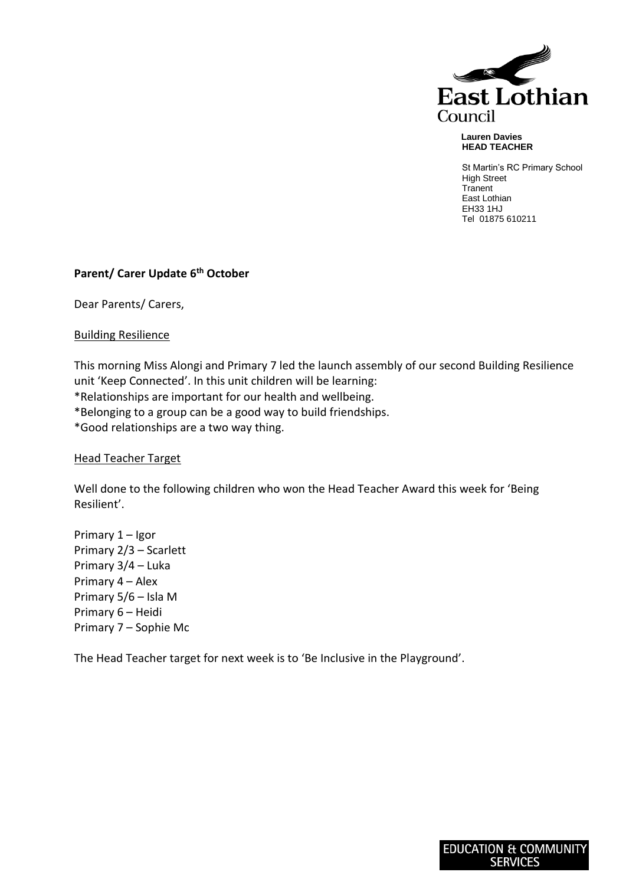

 **Lauren Davies HEAD TEACHER**

St Martin's RC Primary School High Street **Tranent** East Lothian EH33 1HJ Tel 01875 610211

## **Parent/ Carer Update 6th October**

Dear Parents/ Carers,

Building Resilience

This morning Miss Alongi and Primary 7 led the launch assembly of our second Building Resilience unit 'Keep Connected'. In this unit children will be learning: \*Relationships are important for our health and wellbeing.

\*Belonging to a group can be a good way to build friendships.

\*Good relationships are a two way thing.

## Head Teacher Target

Well done to the following children who won the Head Teacher Award this week for 'Being Resilient'.

Primary 1 – Igor Primary 2/3 – Scarlett Primary 3/4 – Luka Primary 4 – Alex Primary 5/6 – Isla M Primary 6 – Heidi Primary 7 – Sophie Mc

The Head Teacher target for next week is to 'Be Inclusive in the Playground'.